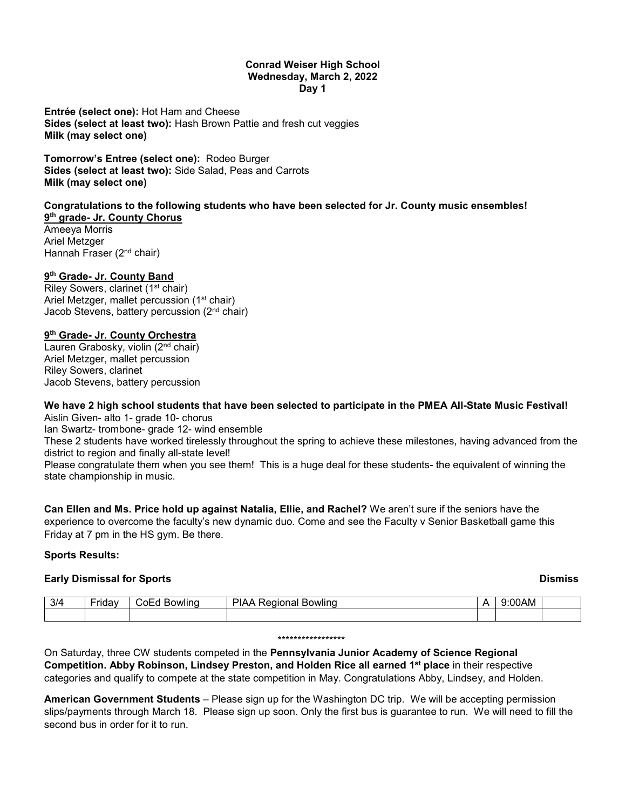#### **Conrad Weiser High School Wednesday, March 2, 2022 Day 1**

**Entrée (select one):** Hot Ham and Cheese **Sides (select at least two):** Hash Brown Pattie and fresh cut veggies **Milk (may select one)**

**Tomorrow's Entree (select one):** Rodeo Burger **Sides (select at least two):** Side Salad, Peas and Carrots **Milk (may select one)**

#### **Congratulations to the following students who have been selected for Jr. County music ensembles! 9th grade- Jr. County Chorus**

Ameeya Morris Ariel Metzger Hannah Fraser (2nd chair)

# **9th Grade- Jr. County Band**

Riley Sowers, clarinet (1<sup>st</sup> chair) Ariel Metzger, mallet percussion (1<sup>st</sup> chair) Jacob Stevens, battery percussion (2nd chair)

## **9th Grade- Jr. County Orchestra**

Lauren Grabosky, violin (2nd chair) Ariel Metzger, mallet percussion Riley Sowers, clarinet Jacob Stevens, battery percussion

### **We have 2 high school students that have been selected to participate in the PMEA All-State Music Festival!** Aislin Given- alto 1- grade 10- chorus

Ian Swartz- trombone- grade 12- wind ensemble

These 2 students have worked tirelessly throughout the spring to achieve these milestones, having advanced from the district to region and finally all-state level!

Please congratulate them when you see them! This is a huge deal for these students- the equivalent of winning the state championship in music.

**Can Ellen and Ms. Price hold up against Natalia, Ellie, and Rachel?** We aren't sure if the seniors have the experience to overcome the faculty's new dynamic duo. Come and see the Faculty v Senior Basketball game this Friday at 7 pm in the HS gym. Be there.

## **Sports Results:**

## **Early Dismissal for Sports Dismiss**

| 3/4 | - - -<br>1 1 9 9 | '∩WlINu<br>ר∩.<br>- | wlinc<br>$\sim$<br><br>11.CII | .<br>AM |  |
|-----|------------------|---------------------|-------------------------------|---------|--|
|     |                  |                     |                               |         |  |

#### \*\*\*\*\*\*\*\*\*\*\*\*\*\*\*\*\*

On Saturday, three CW students competed in the **Pennsylvania Junior Academy of Science Regional Competition. Abby Robinson, Lindsey Preston, and Holden Rice all earned 1st place** in their respective categories and qualify to compete at the state competition in May. Congratulations Abby, Lindsey, and Holden.

**American Government Students** – Please sign up for the Washington DC trip. We will be accepting permission slips/payments through March 18. Please sign up soon. Only the first bus is guarantee to run. We will need to fill the second bus in order for it to run.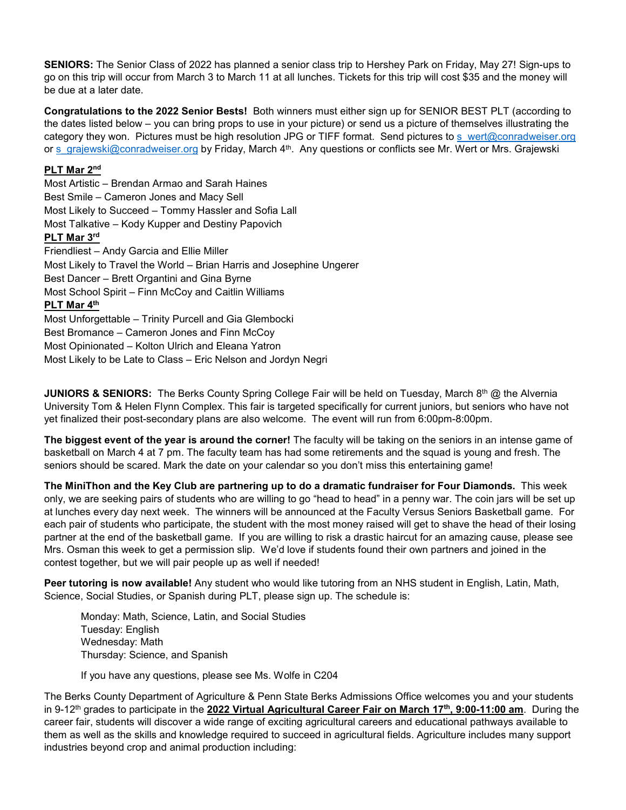**SENIORS:** The Senior Class of 2022 has planned a senior class trip to Hershey Park on Friday, May 27! Sign-ups to go on this trip will occur from March 3 to March 11 at all lunches. Tickets for this trip will cost \$35 and the money will be due at a later date.

**Congratulations to the 2022 Senior Bests!** Both winners must either sign up for SENIOR BEST PLT (according to the dates listed below – you can bring props to use in your picture) or send us a picture of themselves illustrating the category they won. Pictures must be high resolution JPG or TIFF format. Send pictures to [s\\_wert@conradweiser.org](mailto:s_wert@conradweiser.org) or [s\\_grajewski@conradweiser.org](mailto:s_grajewski@conradweiser.org) by Friday, March 4<sup>th</sup>. Any questions or conflicts see Mr. Wert or Mrs. Grajewski

## **PLT Mar 2nd**

Most Artistic – Brendan Armao and Sarah Haines Best Smile – Cameron Jones and Macy Sell Most Likely to Succeed – Tommy Hassler and Sofia Lall Most Talkative – Kody Kupper and Destiny Papovich **PLT Mar 3rd** Friendliest – Andy Garcia and Ellie Miller Most Likely to Travel the World – Brian Harris and Josephine Ungerer Best Dancer – Brett Organtini and Gina Byrne Most School Spirit – Finn McCoy and Caitlin Williams **PLT Mar 4th** Most Unforgettable – Trinity Purcell and Gia Glembocki Best Bromance – Cameron Jones and Finn McCoy Most Opinionated – Kolton Ulrich and Eleana Yatron Most Likely to be Late to Class – Eric Nelson and Jordyn Negri

**JUNIORS & SENIORS:** The Berks County Spring College Fair will be held on Tuesday, March 8<sup>th</sup> @ the Alvernia University Tom & Helen Flynn Complex. This fair is targeted specifically for current juniors, but seniors who have not yet finalized their post-secondary plans are also welcome. The event will run from 6:00pm-8:00pm.

**The biggest event of the year is around the corner!** The faculty will be taking on the seniors in an intense game of basketball on March 4 at 7 pm. The faculty team has had some retirements and the squad is young and fresh. The seniors should be scared. Mark the date on your calendar so you don't miss this entertaining game!

**The MiniThon and the Key Club are partnering up to do a dramatic fundraiser for Four Diamonds.** This week only, we are seeking pairs of students who are willing to go "head to head" in a penny war. The coin jars will be set up at lunches every day next week. The winners will be announced at the Faculty Versus Seniors Basketball game. For each pair of students who participate, the student with the most money raised will get to shave the head of their losing partner at the end of the basketball game. If you are willing to risk a drastic haircut for an amazing cause, please see Mrs. Osman this week to get a permission slip. We'd love if students found their own partners and joined in the contest together, but we will pair people up as well if needed!

**Peer tutoring is now available!** Any student who would like tutoring from an NHS student in English, Latin, Math, Science, Social Studies, or Spanish during PLT, please sign up. The schedule is:

Monday: Math, Science, Latin, and Social Studies Tuesday: English Wednesday: Math Thursday: Science, and Spanish

If you have any questions, please see Ms. Wolfe in C204

The Berks County Department of Agriculture & Penn State Berks Admissions Office welcomes you and your students in 9-12<sup>th</sup> grades to participate in the **2022 Virtual Agricultural Career Fair on March 17<sup>th</sup>, 9:00-11:00 am.** During the career fair, students will discover a wide range of exciting agricultural careers and educational pathways available to them as well as the skills and knowledge required to succeed in agricultural fields. Agriculture includes many support industries beyond crop and animal production including: